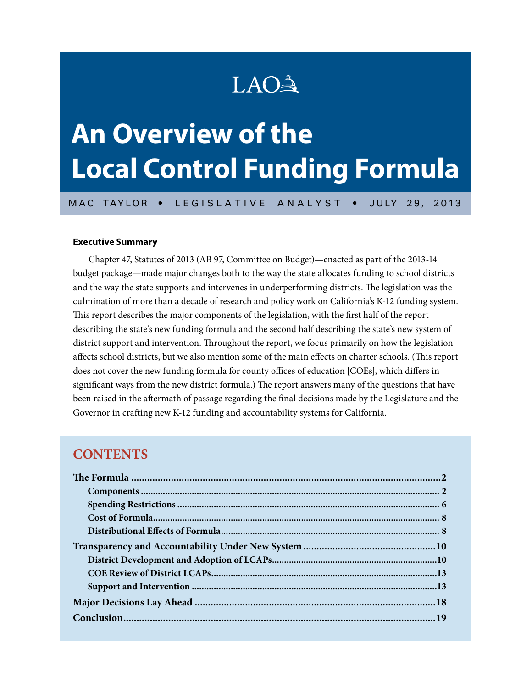# LAO<sup>A</sup>

# **An Overview of the Local Control Funding Formula**

MAC TAYLOR • LEGISLATIVE ANALYST • JULY 29, 2013

#### **Executive Summary**

Chapter 47, Statutes of 2013 (AB 97, Committee on Budget)—enacted as part of the 2013‑14 budget package—made major changes both to the way the state allocates funding to school districts and the way the state supports and intervenes in underperforming districts. The legislation was the culmination of more than a decade of research and policy work on California's K-12 funding system. This report describes the major components of the legislation, with the first half of the report describing the state's new funding formula and the second half describing the state's new system of district support and intervention. Throughout the report, we focus primarily on how the legislation affects school districts, but we also mention some of the main effects on charter schools. (This report does not cover the new funding formula for county offices of education [COEs], which differs in significant ways from the new district formula.) The report answers many of the questions that have been raised in the aftermath of passage regarding the final decisions made by the Legislature and the Governor in crafting new K-12 funding and accountability systems for California.

## **CONTENTS**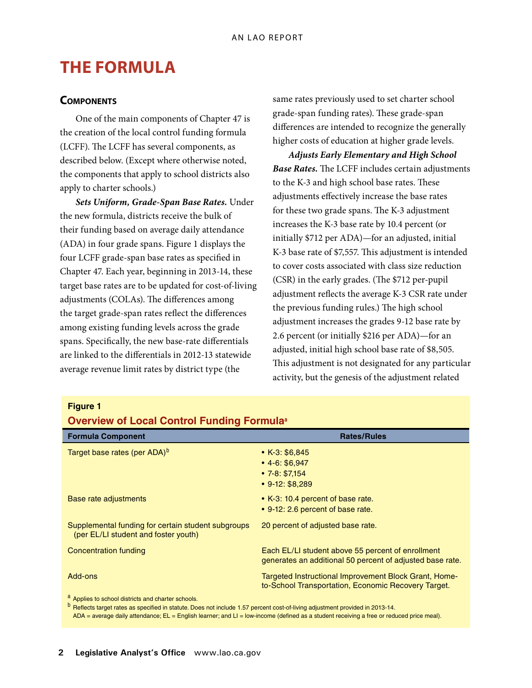# **The Formula**

## **Components**

One of the main components of Chapter 47 is the creation of the local control funding formula (LCFF). The LCFF has several components, as described below. (Except where otherwise noted, the components that apply to school districts also apply to charter schools.)

*Sets Uniform, Grade-Span Base Rates.* Under the new formula, districts receive the bulk of their funding based on average daily attendance (ADA) in four grade spans. Figure 1 displays the four LCFF grade-span base rates as specified in Chapter 47. Each year, beginning in 2013‑14, these target base rates are to be updated for cost-of-living adjustments (COLAs). The differences among the target grade-span rates reflect the differences among existing funding levels across the grade spans. Specifically, the new base-rate differentials are linked to the differentials in 2012‑13 statewide average revenue limit rates by district type (the

same rates previously used to set charter school grade-span funding rates). These grade-span differences are intended to recognize the generally higher costs of education at higher grade levels.

*Adjusts Early Elementary and High School Base Rates.* The LCFF includes certain adjustments to the K-3 and high school base rates. These adjustments effectively increase the base rates for these two grade spans. The K-3 adjustment increases the K-3 base rate by 10.4 percent (or initially \$712 per ADA)—for an adjusted, initial K-3 base rate of \$7,557. This adjustment is intended to cover costs associated with class size reduction (CSR) in the early grades. (The \$712 per-pupil adjustment reflects the average K-3 CSR rate under the previous funding rules.) The high school adjustment increases the grades 9‑12 base rate by 2.6 percent (or initially \$216 per ADA)—for an adjusted, initial high school base rate of \$8,505. This adjustment is not designated for any particular activity, but the genesis of the adjustment related

## **Figure 1**

### **Overview of Local Control Funding Formula<sup>a</sup>**

| <b>Formula Component</b>                                                                   | <b>Rates/Rules</b>                                                                                             |
|--------------------------------------------------------------------------------------------|----------------------------------------------------------------------------------------------------------------|
| Target base rates (per ADA) <sup>b</sup>                                                   | • $K-3: $6,845$<br>$• 4-6: $6.947$<br>$\cdot$ 7-8: \$7.154<br>$\cdot$ 9-12: \$8,289                            |
| Base rate adjustments                                                                      | • K-3: 10.4 percent of base rate.<br>• 9-12: 2.6 percent of base rate.                                         |
| Supplemental funding for certain student subgroups<br>(per EL/LI student and foster youth) | 20 percent of adjusted base rate.                                                                              |
| Concentration funding                                                                      | Each EL/LI student above 55 percent of enrollment<br>generates an additional 50 percent of adjusted base rate. |
| Add-ons                                                                                    | Targeted Instructional Improvement Block Grant, Home-<br>to-School Transportation, Economic Recovery Target.   |
| <sup>a</sup> Applies to school districts and charter schools.                              |                                                                                                                |

<sup>b</sup> Reflects target rates as specified in statute. Does not include 1.57 percent cost-of-living adjustment provided in 2013-14.

ADA = average daily attendance; EL = English learner; and LI = low-income (defined as a student receiving a free or reduced price meal).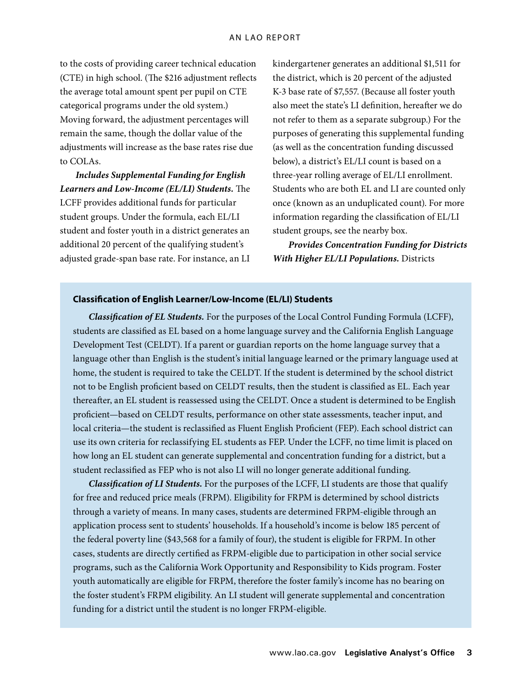to the costs of providing career technical education (CTE) in high school. (The \$216 adjustment reflects the average total amount spent per pupil on CTE categorical programs under the old system.) Moving forward, the adjustment percentages will remain the same, though the dollar value of the adjustments will increase as the base rates rise due to COLAs.

*Includes Supplemental Funding for English Learners and Low-Income (EL/LI) Students.* The LCFF provides additional funds for particular student groups. Under the formula, each EL/LI student and foster youth in a district generates an additional 20 percent of the qualifying student's adjusted grade-span base rate. For instance, an LI kindergartener generates an additional \$1,511 for the district, which is 20 percent of the adjusted K-3 base rate of \$7,557. (Because all foster youth also meet the state's LI definition, hereafter we do not refer to them as a separate subgroup.) For the purposes of generating this supplemental funding (as well as the concentration funding discussed below), a district's EL/LI count is based on a three-year rolling average of EL/LI enrollment. Students who are both EL and LI are counted only once (known as an unduplicated count). For more information regarding the classification of EL/LI student groups, see the nearby box.

*Provides Concentration Funding for Districts With Higher EL/LI Populations.* Districts

#### **Classification of English Learner/Low-Income (EL/LI) Students**

*Classification of EL Students.* For the purposes of the Local Control Funding Formula (LCFF), students are classified as EL based on a home language survey and the California English Language Development Test (CELDT). If a parent or guardian reports on the home language survey that a language other than English is the student's initial language learned or the primary language used at home, the student is required to take the CELDT. If the student is determined by the school district not to be English proficient based on CELDT results, then the student is classified as EL. Each year thereafter, an EL student is reassessed using the CELDT. Once a student is determined to be English proficient—based on CELDT results, performance on other state assessments, teacher input, and local criteria—the student is reclassified as Fluent English Proficient (FEP). Each school district can use its own criteria for reclassifying EL students as FEP. Under the LCFF, no time limit is placed on how long an EL student can generate supplemental and concentration funding for a district, but a student reclassified as FEP who is not also LI will no longer generate additional funding.

*Classification of LI Students.* For the purposes of the LCFF, LI students are those that qualify for free and reduced price meals (FRPM). Eligibility for FRPM is determined by school districts through a variety of means. In many cases, students are determined FRPM-eligible through an application process sent to students' households. If a household's income is below 185 percent of the federal poverty line (\$43,568 for a family of four), the student is eligible for FRPM. In other cases, students are directly certified as FRPM-eligible due to participation in other social service programs, such as the California Work Opportunity and Responsibility to Kids program. Foster youth automatically are eligible for FRPM, therefore the foster family's income has no bearing on the foster student's FRPM eligibility. An LI student will generate supplemental and concentration funding for a district until the student is no longer FRPM-eligible.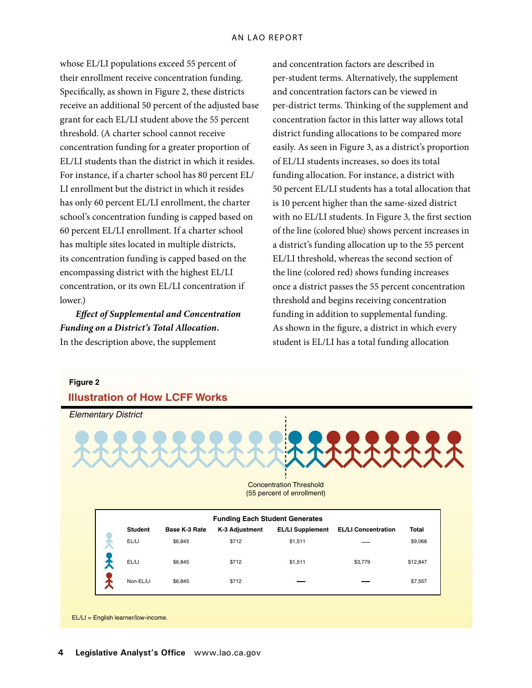whose EL/LI populations exceed 55 percent of their enrollment receive concentration funding. Specifically, as shown in Figure 2, these districts receive an additional 50 percent of the adjusted base grant for each EL/LI student above the 55 percent threshold. (A charter school cannot receive concentration funding for a greater proportion of EL/LI students than the district in which it resides. For instance, if a charter school has 80 percent EL/ LI enrollment but the district in which it resides has only 60 percent EL/LI enrollment, the charter school's concentration funding is capped based on 60 percent EL/LI enrollment. If a charter school has multiple sites located in multiple districts, its concentration funding is capped based on the encompassing district with the highest EL/LI concentration, or its own EL/LI concentration if lower)

*Effect of Supplemental and Concentration Funding on a District's Total Allocation.*  In the description above, the supplement

and concentration factors are described in per-student terms. Alternatively, the supplement and concentration factors can be viewed in per-district terms. Thinking of the supplement and concentration factor in this latter way allows total district funding allocations to be compared more easily. As seen in Figure 3, as a district's proportion of EL/LI students increases, so does its total funding allocation. For instance, a district with 50 percent EL/LI students has a total allocation that is 10 percent higher than the same-sized district with no EL/LI students. In Figure 3, the first section of the line (colored blue) shows percent increases in a district's funding allocation up to the 55 percent EL/LI threshold, whereas the second section of the line (colored red) shows funding increases once a district passes the 55 percent concentration threshold and begins receiving concentration funding in addition to supplemental funding. As shown in the figure, a district in which every student is EL/LI has a total funding allocation



EL/LI = English learner/low-income.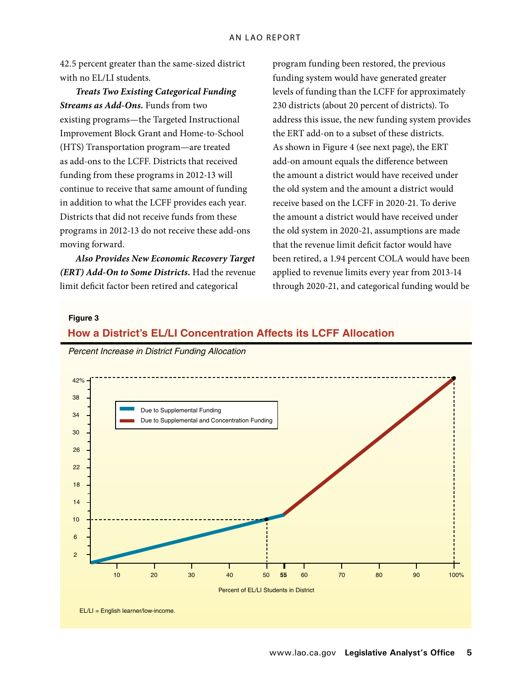42.5 percent greater than the same-sized district with no EL/LI students.

*Treats Two Existing Categorical Funding Streams as Add-Ons.* Funds from two existing programs—the Targeted Instructional Improvement Block Grant and Home-to-School (HTS) Transportation program—are treated as add-ons to the LCFF. Districts that received funding from these programs in 2012‑13 will continue to receive that same amount of funding in addition to what the LCFF provides each year. Districts that did not receive funds from these programs in 2012‑13 do not receive these add-ons moving forward.

*Also Provides New Economic Recovery Target (ERT) Add-On to Some Districts.* Had the revenue limit deficit factor been retired and categorical

program funding been restored, the previous funding system would have generated greater levels of funding than the LCFF for approximately 230 districts (about 20 percent of districts). To address this issue, the new funding system provides the ERT add-on to a subset of these districts. As shown in Figure 4 (see next page), the ERT *Secretary* add-on amount equals the difference between *Analyst* the amount a district would have received under<br>*Director* the old system and the amount a district would receive based on the LCFF in 2020‑21. To derive the amount a district would have received under the old system in 2020‑21, assumptions are made that the revenue limit deficit factor would have been retired, a 1.94 percent COLA would have been applied to revenue limits every year from 2013‑14 through 2020‑21, and categorical funding would be f**s**. *Deputy*

#### **Figure 3**

## **How a District's EL/LI Concentration Affects its LCFF Allocation**

*Percent Increase in District Funding Allocation* 

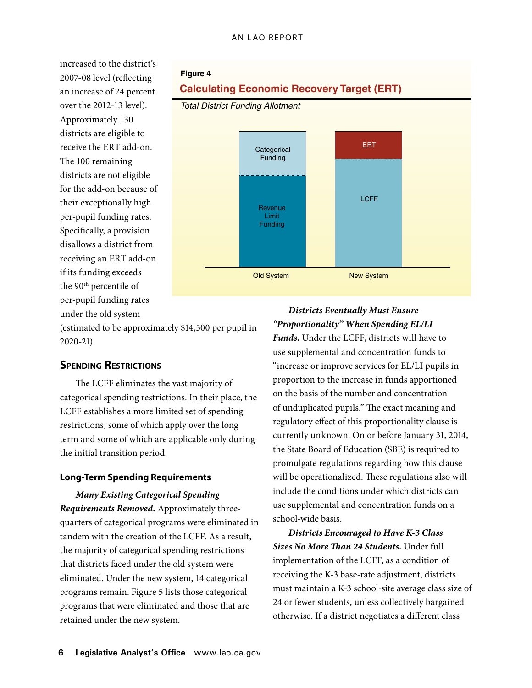increased to the district's 2007‑08 level (reflecting an increase of 24 percent over the 2012‑13 level). Approximately 130 districts are eligible to receive the ERT add-on. The 100 remaining districts are not eligible for the add-on because of their exceptionally high per-pupil funding rates. Specifically, a provision disallows a district from receiving an ERT add-on if its funding exceeds the 90<sup>th</sup> percentile of per-pupil funding rates under the old system

### **Figure 4**

## **Calculating Economic Recovery Target (ERT)**





(estimated to be approximately \$14,500 per pupil in 2020‑21).

## **Spending Restrictions**

The LCFF eliminates the vast majority of categorical spending restrictions. In their place, the LCFF establishes a more limited set of spending restrictions, some of which apply over the long term and some of which are applicable only during the initial transition period.

#### **Long-Term Spending Requirements**

*Many Existing Categorical Spending Requirements Removed.* Approximately threequarters of categorical programs were eliminated in tandem with the creation of the LCFF. As a result, the majority of categorical spending restrictions that districts faced under the old system were eliminated. Under the new system, 14 categorical programs remain. Figure 5 lists those categorical programs that were eliminated and those that are retained under the new system.

## *Districts Eventually Must Ensure "Proportionality" When Spending EL/LI*

**Funds.** Under the LCFF, districts will have to use supplemental and concentration funds to "increase or improve services for EL/LI pupils in proportion to the increase in funds apportioned on the basis of the number and concentration of unduplicated pupils." The exact meaning and regulatory effect of this proportionality clause is currently unknown. On or before January 31, 2014, the State Board of Education (SBE) is required to promulgate regulations regarding how this clause will be operationalized. These regulations also will include the conditions under which districts can use supplemental and concentration funds on a school-wide basis.

*Districts Encouraged to Have K-3 Class Sizes No More Than 24 Students.* Under full implementation of the LCFF, as a condition of receiving the K-3 base-rate adjustment, districts must maintain a K-3 school-site average class size of 24 or fewer students, unless collectively bargained otherwise. If a district negotiates a different class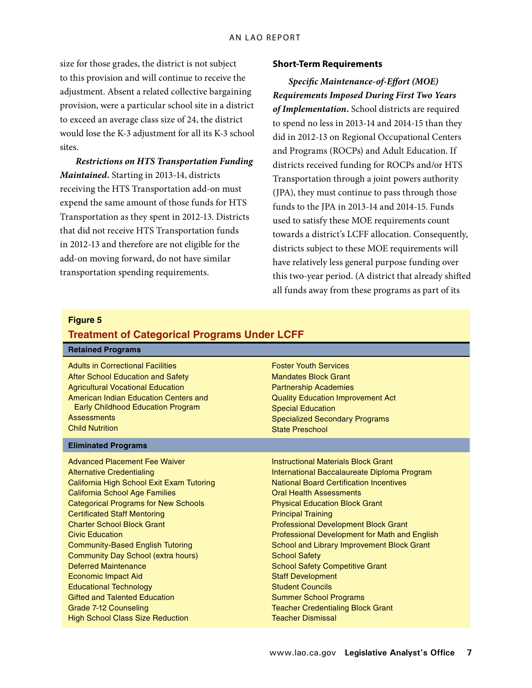size for those grades, the district is not subject to this provision and will continue to receive the adjustment. Absent a related collective bargaining provision, were a particular school site in a district to exceed an average class size of 24, the district would lose the K-3 adjustment for all its K-3 school sites.

*Restrictions on HTS Transportation Funding Maintained.* Starting in 2013‑14, districts receiving the HTS Transportation add-on must expend the same amount of those funds for HTS Transportation as they spent in 2012‑13. Districts that did not receive HTS Transportation funds in 2012‑13 and therefore are not eligible for the add-on moving forward, do not have similar transportation spending requirements.

#### **Short-Term Requirements**

*Specific Maintenance-of-Effort (MOE) Requirements Imposed During First Two Years of Implementation.* School districts are required to spend no less in 2013‑14 and 2014‑15 than they did in 2012‑13 on Regional Occupational Centers and Programs (ROCPs) and Adult Education. If districts received funding for ROCPs and/or HTS Transportation through a joint powers authority (JPA), they must continue to pass through those funds to the JPA in 2013‑14 and 2014‑15. Funds used to satisfy these MOE requirements count towards a district's LCFF allocation. Consequently, districts subject to these MOE requirements will have relatively less general purpose funding over this two-year period. (A district that already shifted all funds away from these programs as part of its

#### **Figure 5**

#### **Treatment of Categorical Programs Under LCFF**

| <b>Retained Programs</b>                    |                                                |
|---------------------------------------------|------------------------------------------------|
| <b>Adults in Correctional Facilities</b>    | <b>Foster Youth Services</b>                   |
| After School Education and Safety           | <b>Mandates Block Grant</b>                    |
| <b>Agricultural Vocational Education</b>    | <b>Partnership Academies</b>                   |
| American Indian Education Centers and       | <b>Quality Education Improvement Act</b>       |
| Early Childhood Education Program           | <b>Special Education</b>                       |
| <b>Assessments</b>                          | <b>Specialized Secondary Programs</b>          |
| <b>Child Nutrition</b>                      | <b>State Preschool</b>                         |
| <b>Eliminated Programs</b>                  |                                                |
| <b>Advanced Placement Fee Waiver</b>        | <b>Instructional Materials Block Grant</b>     |
| <b>Alternative Credentialing</b>            | International Baccalaureate Diploma Program    |
| California High School Exit Exam Tutoring   | <b>National Board Certification Incentives</b> |
| <b>California School Age Families</b>       | <b>Oral Health Assessments</b>                 |
| <b>Categorical Programs for New Schools</b> | <b>Physical Education Block Grant</b>          |
| <b>Certificated Staff Mentoring</b>         | <b>Principal Training</b>                      |
| <b>Charter School Block Grant</b>           | <b>Professional Development Block Grant</b>    |
| <b>Civic Education</b>                      | Professional Development for Math and English  |
| <b>Community-Based English Tutoring</b>     | School and Library Improvement Block Grant     |
| Community Day School (extra hours)          | <b>School Safety</b>                           |
| Deferred Maintenance                        | <b>School Safety Competitive Grant</b>         |
| <b>Economic Impact Aid</b>                  | <b>Staff Development</b>                       |
| <b>Educational Technology</b>               | <b>Student Councils</b>                        |
| <b>Gifted and Talented Education</b>        | <b>Summer School Programs</b>                  |
| Grade 7-12 Counseling                       | <b>Teacher Credentialing Block Grant</b>       |
| <b>High School Class Size Reduction</b>     | <b>Teacher Dismissal</b>                       |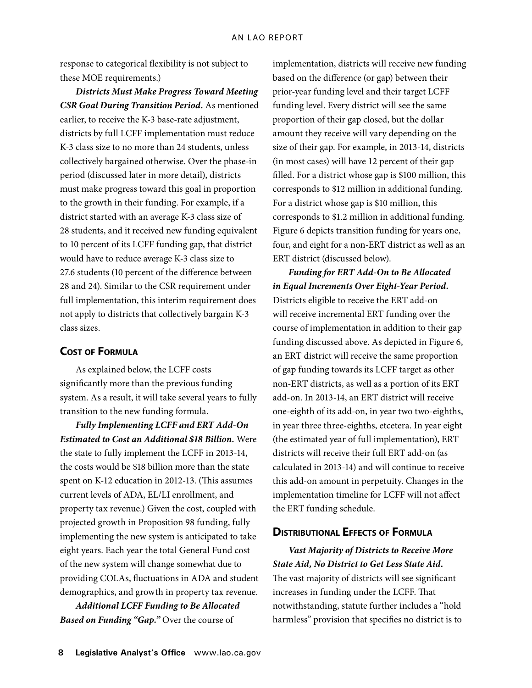response to categorical flexibility is not subject to these MOE requirements.)

*Districts Must Make Progress Toward Meeting CSR Goal During Transition Period.* As mentioned earlier, to receive the K-3 base-rate adjustment, districts by full LCFF implementation must reduce K-3 class size to no more than 24 students, unless collectively bargained otherwise. Over the phase-in period (discussed later in more detail), districts must make progress toward this goal in proportion to the growth in their funding. For example, if a district started with an average K-3 class size of 28 students, and it received new funding equivalent to 10 percent of its LCFF funding gap, that district would have to reduce average K-3 class size to 27.6 students (10 percent of the difference between 28 and 24). Similar to the CSR requirement under full implementation, this interim requirement does not apply to districts that collectively bargain K-3 class sizes.

## **Cost of Formula**

As explained below, the LCFF costs significantly more than the previous funding system. As a result, it will take several years to fully transition to the new funding formula.

*Fully Implementing LCFF and ERT Add-On Estimated to Cost an Additional \$18 Billion.* Were the state to fully implement the LCFF in 2013‑14, the costs would be \$18 billion more than the state spent on K-12 education in 2012-13. (This assumes current levels of ADA, EL/LI enrollment, and property tax revenue.) Given the cost, coupled with projected growth in Proposition 98 funding, fully implementing the new system is anticipated to take eight years. Each year the total General Fund cost of the new system will change somewhat due to providing COLAs, fluctuations in ADA and student demographics, and growth in property tax revenue.

*Additional LCFF Funding to Be Allocated Based on Funding "Gap."* Over the course of

implementation, districts will receive new funding based on the difference (or gap) between their prior-year funding level and their target LCFF funding level. Every district will see the same proportion of their gap closed, but the dollar amount they receive will vary depending on the size of their gap. For example, in 2013-14, districts (in most cases) will have 12 percent of their gap filled. For a district whose gap is \$100 million, this corresponds to \$12 million in additional funding. For a district whose gap is \$10 million, this corresponds to \$1.2 million in additional funding. Figure 6 depicts transition funding for years one, four, and eight for a non-ERT district as well as an ERT district (discussed below).

*Funding for ERT Add-On to Be Allocated in Equal Increments Over Eight-Year Period.*  Districts eligible to receive the ERT add-on will receive incremental ERT funding over the course of implementation in addition to their gap funding discussed above. As depicted in Figure 6, an ERT district will receive the same proportion of gap funding towards its LCFF target as other non-ERT districts, as well as a portion of its ERT add-on. In 2013‑14, an ERT district will receive one-eighth of its add-on, in year two two-eighths, in year three three-eighths, etcetera. In year eight (the estimated year of full implementation), ERT districts will receive their full ERT add-on (as calculated in 2013‑14) and will continue to receive this add-on amount in perpetuity. Changes in the implementation timeline for LCFF will not affect the ERT funding schedule.

## **Distributional Effects of Formula**

*Vast Majority of Districts to Receive More State Aid, No District to Get Less State Aid.*  The vast majority of districts will see significant increases in funding under the LCFF. That notwithstanding, statute further includes a "hold harmless" provision that specifies no district is to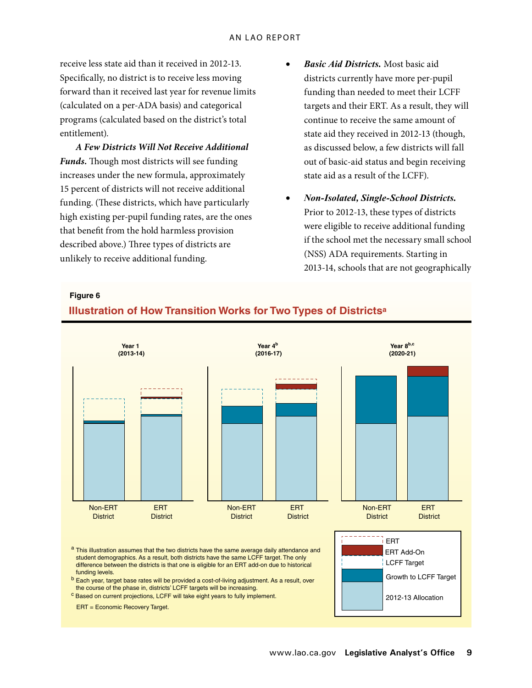receive less state aid than it received in 2012‑13. Specifically, no district is to receive less moving forward than it received last year for revenue limits (calculated on a per-ADA basis) and categorical programs (calculated based on the district's total entitlement).

*A Few Districts Will Not Receive Additional Funds.* Though most districts will see funding increases under the new formula, approximately 15 percent of districts will not receive additional funding. (These districts, which have particularly high existing per-pupil funding rates, are the ones that benefit from the hold harmless provision described above.) Three types of districts are unlikely to receive additional funding.

- **Basic Aid Districts.** Most basic aid districts currently have more per-pupil funding than needed to meet their LCFF targets and their ERT. As a result, they will continue to receive the same amount of state aid they received in 2012‑13 (though, *Secretary* as discussed below, a few districts will fall out of basic-aid status and begin receiving *Director* state aid as a result of the LCFF).
- • *Non-Isolated, Single-School Districts.*  Prior to 2012-13, these types of districts were eligible to receive additional funding if the school met the necessary small school (NSS) ADA requirements. Starting in 2013‑14, schools that are not geographically

#### **Figure 6**

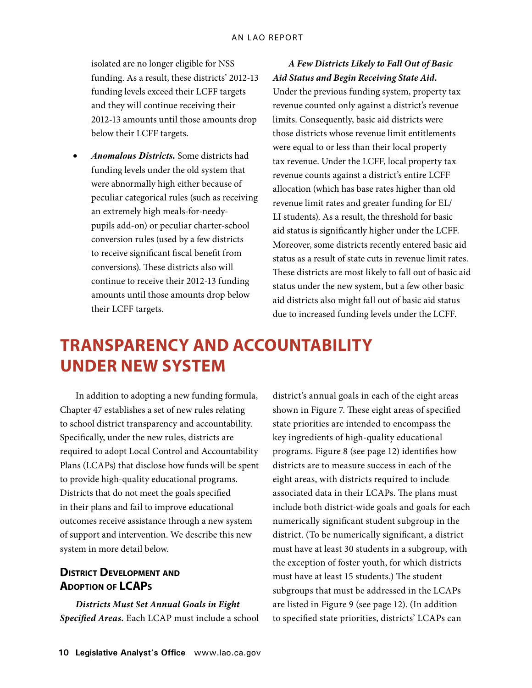isolated are no longer eligible for NSS funding. As a result, these districts' 2012-13 funding levels exceed their LCFF targets and they will continue receiving their 2012‑13 amounts until those amounts drop below their LCFF targets.

• *Anomalous Districts.* Some districts had funding levels under the old system that were abnormally high either because of peculiar categorical rules (such as receiving an extremely high meals-for-needypupils add-on) or peculiar charter-school conversion rules (used by a few districts to receive significant fiscal benefit from conversions). These districts also will continue to receive their 2012‑13 funding amounts until those amounts drop below their LCFF targets.

## *A Few Districts Likely to Fall Out of Basic Aid Status and Begin Receiving State Aid.*

Under the previous funding system, property tax revenue counted only against a district's revenue limits. Consequently, basic aid districts were those districts whose revenue limit entitlements were equal to or less than their local property tax revenue. Under the LCFF, local property tax revenue counts against a district's entire LCFF allocation (which has base rates higher than old revenue limit rates and greater funding for EL/ LI students). As a result, the threshold for basic aid status is significantly higher under the LCFF. Moreover, some districts recently entered basic aid status as a result of state cuts in revenue limit rates. These districts are most likely to fall out of basic aid status under the new system, but a few other basic aid districts also might fall out of basic aid status due to increased funding levels under the LCFF.

# **Transparency and Accountability Under New System**

In addition to adopting a new funding formula, Chapter 47 establishes a set of new rules relating to school district transparency and accountability. Specifically, under the new rules, districts are required to adopt Local Control and Accountability Plans (LCAPs) that disclose how funds will be spent to provide high-quality educational programs. Districts that do not meet the goals specified in their plans and fail to improve educational outcomes receive assistance through a new system of support and intervention. We describe this new system in more detail below.

## **District Development and Adoption of LCAPs**

*Districts Must Set Annual Goals in Eight Specified Areas.* Each LCAP must include a school district's annual goals in each of the eight areas shown in Figure 7. These eight areas of specified state priorities are intended to encompass the key ingredients of high-quality educational programs. Figure 8 (see page 12) identifies how districts are to measure success in each of the eight areas, with districts required to include associated data in their LCAPs. The plans must include both district-wide goals and goals for each numerically significant student subgroup in the district. (To be numerically significant, a district must have at least 30 students in a subgroup, with the exception of foster youth, for which districts must have at least 15 students.) The student subgroups that must be addressed in the LCAPs are listed in Figure 9 (see page 12). (In addition to specified state priorities, districts' LCAPs can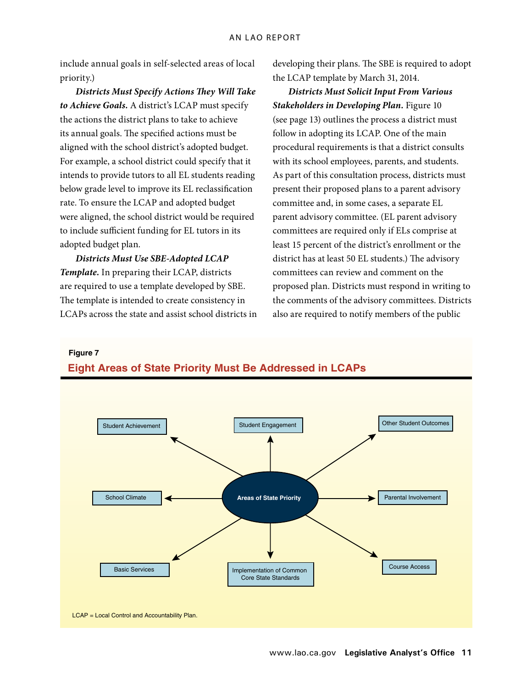include annual goals in self-selected areas of local priority.)

*Districts Must Specify Actions They Will Take to Achieve Goals.* A district's LCAP must specify the actions the district plans to take to achieve its annual goals. The specified actions must be aligned with the school district's adopted budget. For example, a school district could specify that it intends to provide tutors to all EL students reading below grade level to improve its EL reclassification rate. To ensure the LCAP and adopted budget were aligned, the school district would be required to include sufficient funding for EL tutors in its adopted budget plan.

*Districts Must Use SBE-Adopted LCAP Template.* In preparing their LCAP, districts are required to use a template developed by SBE. The template is intended to create consistency in LCAPs across the state and assist school districts in developing their plans. The SBE is required to adopt the LCAP template by March 31, 2014.

*Districts Must Solicit Input From Various Stakeholders in Developing Plan.* Figure 10 (see page 13) outlines the process a district must follow in adopting its LCAP. One of the main procedural requirements is that a district consults with its school employees, parents, and students. As part of this consultation process, districts must present their proposed plans to a parent advisory *Secretary* committee and, in some cases, a separate EL *Analyst* parent advisory committee. (EL parent advisory *Director* committees are required only if ELs comprise at least 15 percent of the district's enrollment or the district has at least 50 EL students.) The advisory committees can review and comment on the proposed plan. Districts must respond in writing to the comments of the advisory committees. Districts also are required to notify members of the public

**Figure 7**



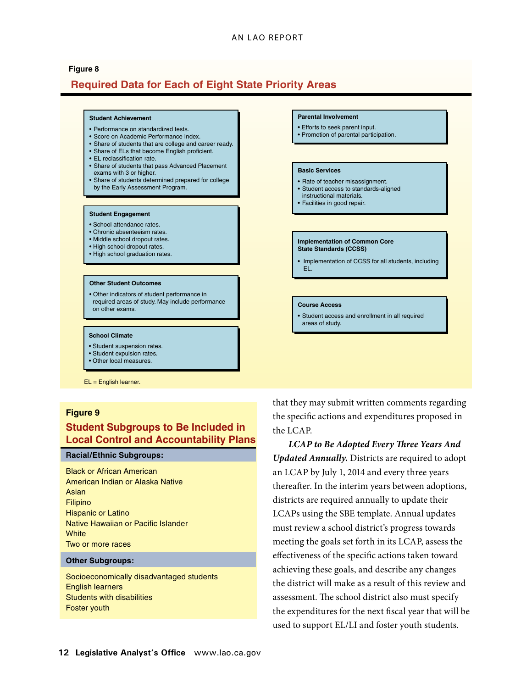#### An LAO Report

## **Required Data for Each of Eight State Priority Areas Figure 8**



EL = English learner.

#### **Figure 9**

## **Student Subgroups to Be Included in Local Control and Accountability Plans**

#### **Racial/Ethnic Subgroups:**

Black or African American American Indian or Alaska Native Asian Filipino Hispanic or Latino Native Hawaiian or Pacific Islander **White** Two or more races

#### **Other Subgroups:**

Socioeconomically disadvantaged students English learners Students with disabilities Foster youth

that they may submit written comments regarding the specific actions and expenditures proposed in the LCAP.

**y Plans LCAP** to Be Adopted Every Three Years And *Updated Annually.* Districts are required to adopt an LCAP by July 1, 2014 and every three years thereafter. In the interim years between adoptions, districts are required annually to update their LCAPs using the SBE template. Annual updates must review a school district's progress towards meeting the goals set forth in its LCAP, assess the effectiveness of the specific actions taken toward achieving these goals, and describe any changes the district will make as a result of this review and assessment. The school district also must specify the expenditures for the next fiscal year that will be used to support EL/LI and foster youth students.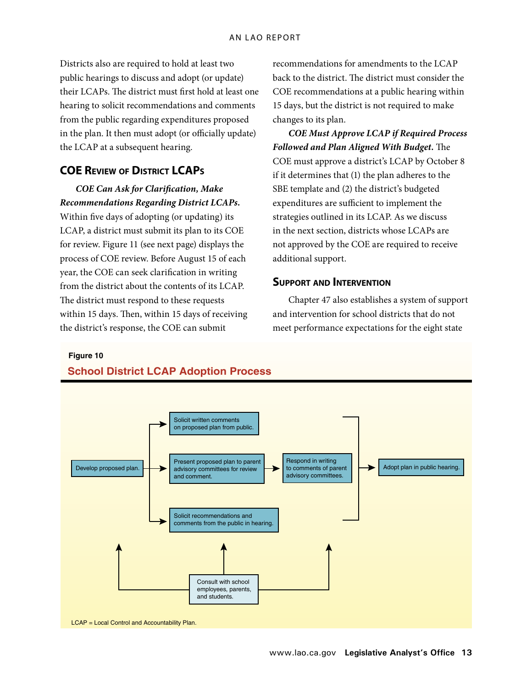Districts also are required to hold at least two public hearings to discuss and adopt (or update) their LCAPs. The district must first hold at least one hearing to solicit recommendations and comments from the public regarding expenditures proposed in the plan. It then must adopt (or officially update) the LCAP at a subsequent hearing.

## **COE Review of District LCAPs**

*COE Can Ask for Clarification, Make Recommendations Regarding District LCAPs.* 

Within five days of adopting (or updating) its LCAP, a district must submit its plan to its COE for review. Figure 11 (see next page) displays the process of COE review. Before August 15 of each year, the COE can seek clarification in writing from the district about the contents of its LCAP. The district must respond to these requests within 15 days. Then, within 15 days of receiving the district's response, the COE can submit

recommendations for amendments to the LCAP back to the district. The district must consider the COE recommendations at a public hearing within 15 days, but the district is not required to make changes to its plan.

*COE Must Approve LCAP if Required Process Followed and Plan Aligned With Budget.* The COE must approve a district's LCAP by October 8 if it determines that (1) the plan adheres to the SBE template and (2) the district's budgeted expenditures are sufficient to implement the strategies outlined in its LCAP. As we discuss *Director* in the next section, districts whose LCAPs are not approved by the COE are required to receive additional support. **Graphic Signs** 

## **Support and Intervention**

Chapter 47 also establishes a system of support and intervention for school districts that do not meet performance expectations for the eight state

**Figure 10**



## **School District LCAP Adoption Process**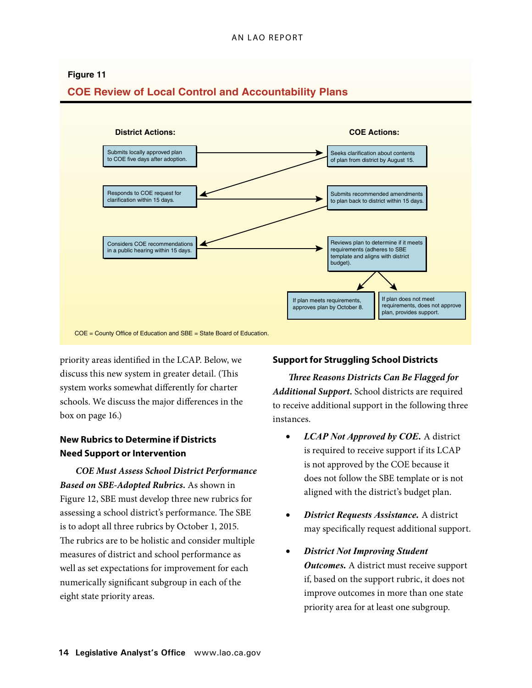## **COE Review of Local Control and Accountability Plans District Actions: COE Actions: Figure 11** Seeks clarification about contents of plan from district by August 15. Submits recommended amendments to plan back to district within 15 days. Reviews plan to determine if it meets requirements (adheres to SBE template and aligns with district budget). Submits locally approved plan to COE five days after adoption. Responds to COE request for clarification within 15 days. Considers COE recommendations in a public hearing within 15 days. If plan meets requirements, approves plan by October 8. If plan does not meet requirements, does not approve plan, provides support. COE = County Office of Education and SBE = State Board of Education.

priority areas identified in the LCAP. Below, we discuss this new system in greater detail. (This system works somewhat differently for charter schools. We discuss the major differences in the box on page 16.)

## **New Rubrics to Determine if Districts Need Support or Intervention**

*COE Must Assess School District Performance Based on SBE-Adopted Rubrics.* As shown in Figure 12, SBE must develop three new rubrics for assessing a school district's performance. The SBE is to adopt all three rubrics by October 1, 2015. The rubrics are to be holistic and consider multiple measures of district and school performance as well as set expectations for improvement for each numerically significant subgroup in each of the eight state priority areas.

## **Support for Struggling School Districts**

*Three Reasons Districts Can Be Flagged for Additional Support.* School districts are required to receive additional support in the following three instances.

- • *LCAP Not Approved by COE.* A district is required to receive support if its LCAP is not approved by the COE because it does not follow the SBE template or is not aligned with the district's budget plan.
- **District Requests Assistance.** A district may specifically request additional support.
- **District Not Improving Student** *Outcomes.* A district must receive support if, based on the support rubric, it does not improve outcomes in more than one state priority area for at least one subgroup.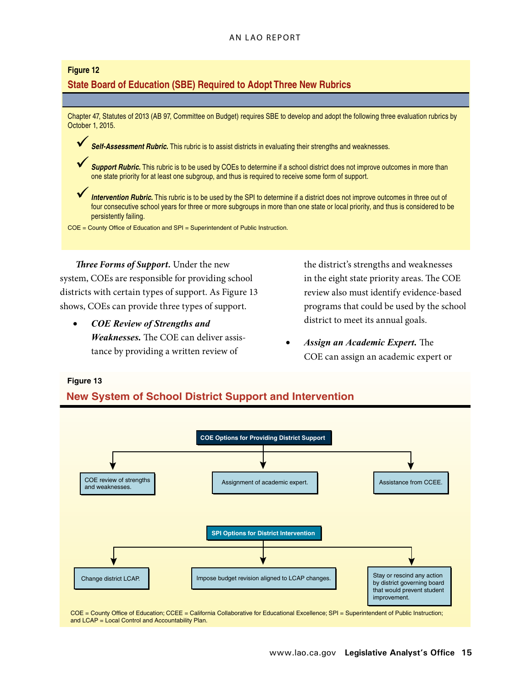#### An LAO Report

#### **Figure 12**

## **State Board of Education (SBE) Required to Adopt Three New Rubrics**

Chapter 47, Statutes of 2013 (AB 97, Committee on Budget) requires SBE to develop and adopt the following three evaluation rubrics by October 1, 2015.

**Self-Assessment Rubric.** This rubric is to assist districts in evaluating their strengths and weaknesses.

9*Support Rubric.* This rubric is to be used by COEs to determine if a school district does not improve outcomes in more than one state priority for at least one subgroup, and thus is required to receive some form of support.

*Intervention Rubric.* This rubric is to be used by the SPI to determine if a district does not improve outcomes in three out of four consecutive school years for three or more subgroups in more than one state or local priority, and thus is considered to be persistently failing.

COE = County Office of Education and SPI = Superintendent of Public Instruction.

*Three Forms of Support.* Under the new system, COEs are responsible for providing school districts with certain types of support. As Figure 13 shows, COEs can provide three types of support.

*COE Review of Strengths and Weaknesses.* The COE can deliver assis‑ tance by providing a written review of

the district's strengths and weaknesses in the eight state priority areas. The COE review also must identify evidence-based programs that could be used by the school district to meet its annual goals.

*Assign an Academic Expert.* The COE can assign an academic expert or

#### **Figure 13**

**New System of School District Support and Intervention**



COE = County Office of Education; CCEE = California Collaborative for Educational Excellence; SPI = Superintendent of Public Instruction; and LCAP = Local Control and Accountability Plan.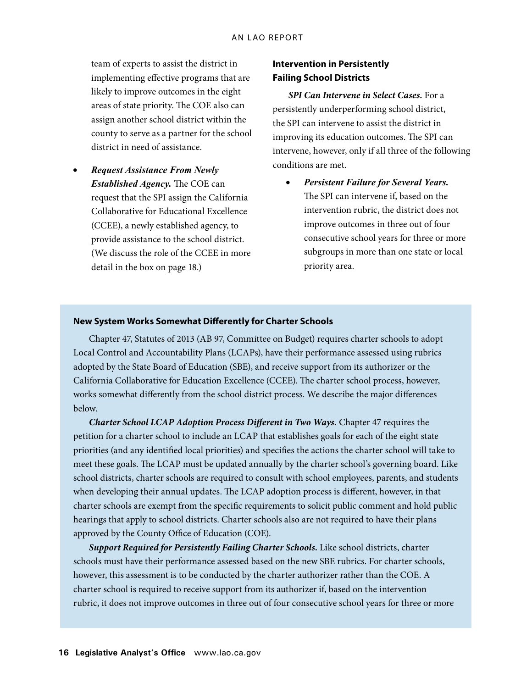team of experts to assist the district in implementing effective programs that are likely to improve outcomes in the eight areas of state priority. The COE also can assign another school district within the county to serve as a partner for the school district in need of assistance.

**Request Assistance From Newly** *Established Agency.* The COE can request that the SPI assign the California Collaborative for Educational Excellence (CCEE), a newly established agency, to provide assistance to the school district. (We discuss the role of the CCEE in more detail in the box on page 18.)

## **Intervention in Persistently Failing School Districts**

*SPI Can Intervene in Select Cases.* For a persistently underperforming school district, the SPI can intervene to assist the district in improving its education outcomes. The SPI can intervene, however, only if all three of the following conditions are met.

**Persistent Failure for Several Years.** The SPI can intervene if, based on the intervention rubric, the district does not improve outcomes in three out of four consecutive school years for three or more subgroups in more than one state or local priority area.

#### **New System Works Somewhat Differently for Charter Schools**

Chapter 47, Statutes of 2013 (AB 97, Committee on Budget) requires charter schools to adopt Local Control and Accountability Plans (LCAPs), have their performance assessed using rubrics adopted by the State Board of Education (SBE), and receive support from its authorizer or the California Collaborative for Education Excellence (CCEE). The charter school process, however, works somewhat differently from the school district process. We describe the major differences below.

*Charter School LCAP Adoption Process Different in Two Ways.* Chapter 47 requires the petition for a charter school to include an LCAP that establishes goals for each of the eight state priorities (and any identified local priorities) and specifies the actions the charter school will take to meet these goals. The LCAP must be updated annually by the charter school's governing board. Like school districts, charter schools are required to consult with school employees, parents, and students when developing their annual updates. The LCAP adoption process is different, however, in that charter schools are exempt from the specific requirements to solicit public comment and hold public hearings that apply to school districts. Charter schools also are not required to have their plans approved by the County Office of Education (COE).

*Support Required for Persistently Failing Charter Schools.* Like school districts, charter schools must have their performance assessed based on the new SBE rubrics. For charter schools, however, this assessment is to be conducted by the charter authorizer rather than the COE. A charter school is required to receive support from its authorizer if, based on the intervention rubric, it does not improve outcomes in three out of four consecutive school years for three or more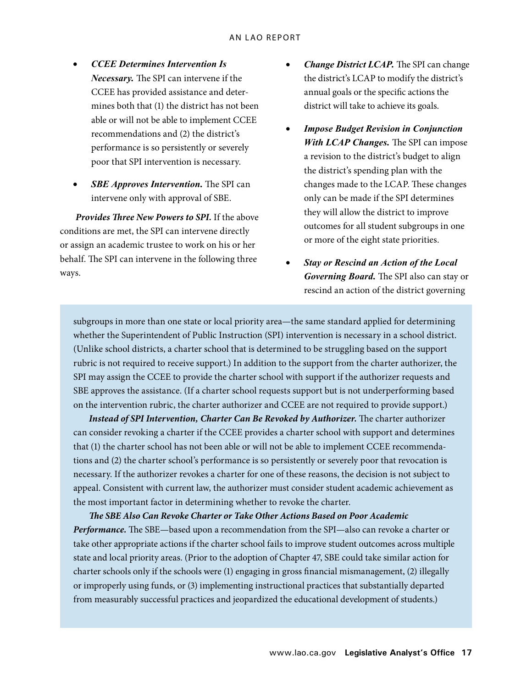- • *CCEE Determines Intervention Is Necessary.* The SPI can intervene if the CCEE has provided assistance and determines both that (1) the district has not been able or will not be able to implement CCEE recommendations and (2) the district's performance is so persistently or severely poor that SPI intervention is necessary.
- *SBE Approves Intervention.* The SPI can intervene only with approval of SBE.

*Provides Three New Powers to SPI.* If the above conditions are met, the SPI can intervene directly or assign an academic trustee to work on his or her behalf. The SPI can intervene in the following three ways.

- *Change District LCAP.* The SPI can change the district's LCAP to modify the district's annual goals or the specific actions the district will take to achieve its goals.
- *Impose Budget Revision in Conjunction With LCAP Changes.* The SPI can impose a revision to the district's budget to align the district's spending plan with the changes made to the LCAP. These changes only can be made if the SPI determines they will allow the district to improve outcomes for all student subgroups in one or more of the eight state priorities.
- **Stay or Rescind an Action of the Local** *Governing Board.* The SPI also can stay or rescind an action of the district governing

subgroups in more than one state or local priority area—the same standard applied for determining whether the Superintendent of Public Instruction (SPI) intervention is necessary in a school district. (Unlike school districts, a charter school that is determined to be struggling based on the support rubric is not required to receive support.) In addition to the support from the charter authorizer, the SPI may assign the CCEE to provide the charter school with support if the authorizer requests and SBE approves the assistance. (If a charter school requests support but is not underperforming based on the intervention rubric, the charter authorizer and CCEE are not required to provide support.)

Instead of SPI Intervention, Charter Can Be Revoked by Authorizer. The charter authorizer can consider revoking a charter if the CCEE provides a charter school with support and determines that (1) the charter school has not been able or will not be able to implement CCEE recommendations and (2) the charter school's performance is so persistently or severely poor that revocation is necessary. If the authorizer revokes a charter for one of these reasons, the decision is not subject to appeal. Consistent with current law, the authorizer must consider student academic achievement as the most important factor in determining whether to revoke the charter.

*The SBE Also Can Revoke Charter or Take Other Actions Based on Poor Academic Performance.* The SBE—based upon a recommendation from the SPI—also can revoke a charter or take other appropriate actions if the charter school fails to improve student outcomes across multiple state and local priority areas. (Prior to the adoption of Chapter 47, SBE could take similar action for charter schools only if the schools were (1) engaging in gross financial mismanagement, (2) illegally or improperly using funds, or (3) implementing instructional practices that substantially departed from measurably successful practices and jeopardized the educational development of students.)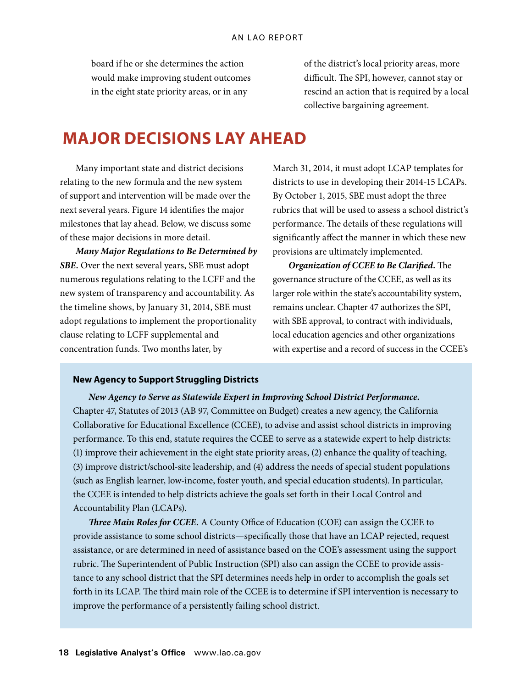board if he or she determines the action would make improving student outcomes in the eight state priority areas, or in any

of the district's local priority areas, more difficult. The SPI, however, cannot stay or rescind an action that is required by a local collective bargaining agreement.

## **Major Decisions Lay Ahead**

Many important state and district decisions relating to the new formula and the new system of support and intervention will be made over the next several years. Figure 14 identifies the major milestones that lay ahead. Below, we discuss some of these major decisions in more detail.

*Many Major Regulations to Be Determined by SBE.* Over the next several years, SBE must adopt numerous regulations relating to the LCFF and the new system of transparency and accountability. As the timeline shows, by January 31, 2014, SBE must adopt regulations to implement the proportionality clause relating to LCFF supplemental and concentration funds. Two months later, by

March 31, 2014, it must adopt LCAP templates for districts to use in developing their 2014‑15 LCAPs. By October 1, 2015, SBE must adopt the three rubrics that will be used to assess a school district's performance. The details of these regulations will significantly affect the manner in which these new provisions are ultimately implemented.

*Organization of CCEE to Be Clarified.* The governance structure of the CCEE, as well as its larger role within the state's accountability system, remains unclear. Chapter 47 authorizes the SPI, with SBE approval, to contract with individuals, local education agencies and other organizations with expertise and a record of success in the CCEE's

#### **New Agency to Support Struggling Districts**

#### *New Agency to Serve as Statewide Expert in Improving School District Performance.*

Chapter 47, Statutes of 2013 (AB 97, Committee on Budget) creates a new agency, the California Collaborative for Educational Excellence (CCEE), to advise and assist school districts in improving performance. To this end, statute requires the CCEE to serve as a statewide expert to help districts: (1) improve their achievement in the eight state priority areas, (2) enhance the quality of teaching, (3) improve district/school-site leadership, and (4) address the needs of special student populations (such as English learner, low-income, foster youth, and special education students). In particular, the CCEE is intended to help districts achieve the goals set forth in their Local Control and Accountability Plan (LCAPs).

*Three Main Roles for CCEE.* A County Office of Education (COE) can assign the CCEE to provide assistance to some school districts—specifically those that have an LCAP rejected, request assistance, or are determined in need of assistance based on the COE's assessment using the support rubric. The Superintendent of Public Instruction (SPI) also can assign the CCEE to provide assistance to any school district that the SPI determines needs help in order to accomplish the goals set forth in its LCAP. The third main role of the CCEE is to determine if SPI intervention is necessary to improve the performance of a persistently failing school district.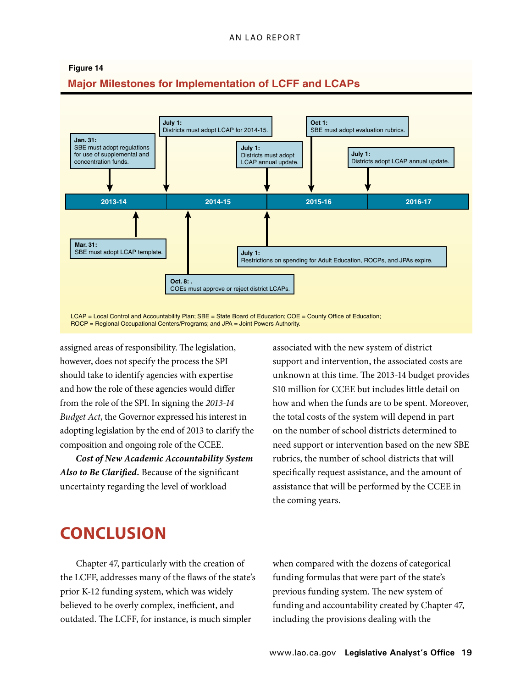

assigned areas of responsibility. The legislation, however, does not specify the process the SPI should take to identify agencies with expertise and how the role of these agencies would differ from the role of the SPI. In signing the *2013‑14 Budget Act*, the Governor expressed his interest in adopting legislation by the end of 2013 to clarify the composition and ongoing role of the CCEE.

*Cost of New Academic Accountability System Also to Be Clarified.* Because of the significant uncertainty regarding the level of workload

SPI support and intervention, the associated costs are associated with the new system of district unknown at this time. The 2013‑14 budget provides \$10 million for CCEE but includes little detail on how and when the funds are to be spent. Moreover, the total costs of the system will depend in part on the number of school districts determined to need support or intervention based on the new SBE rubrics, the number of school districts that will specifically request assistance, and the amount of assistance that will be performed by the CCEE in the coming years.

# **Conclusion**

Chapter 47, particularly with the creation of the LCFF, addresses many of the flaws of the state's prior K-12 funding system, which was widely believed to be overly complex, inefficient, and outdated. The LCFF, for instance, is much simpler

when compared with the dozens of categorical funding formulas that were part of the state's previous funding system. The new system of funding and accountability created by Chapter 47, including the provisions dealing with the